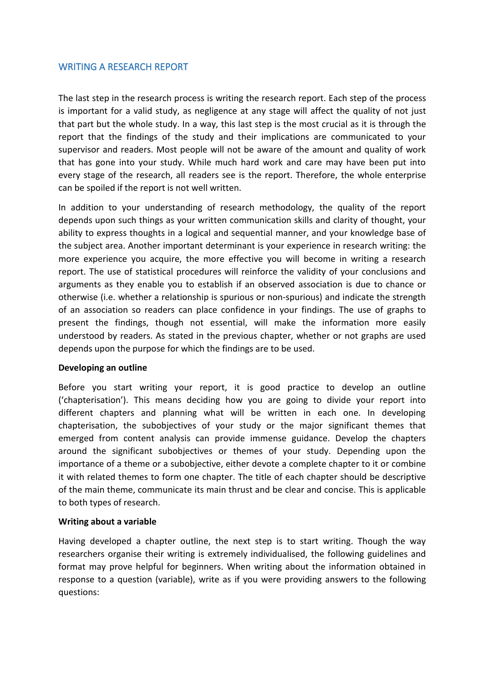# WRITING A RESEARCH REPORT

The last step in the research process is writing the research report. Each step of the process is important for a valid study, as negligence at any stage will affect the quality of not just that part but the whole study. In a way, this last step is the most crucial as it is through the report that the findings of the study and their implications are communicated to your supervisor and readers. Most people will not be aware of the amount and quality of work that has gone into your study. While much hard work and care may have been put into every stage of the research, all readers see is the report. Therefore, the whole enterprise can be spoiled if the report is not well written.

In addition to your understanding of research methodology, the quality of the report depends upon such things as your written communication skills and clarity of thought, your ability to express thoughts in a logical and sequential manner, and your knowledge base of the subject area. Another important determinant is your experience in research writing: the more experience you acquire, the more effective you will become in writing a research report. The use of statistical procedures will reinforce the validity of your conclusions and arguments as they enable you to establish if an observed association is due to chance or otherwise (i.e. whether a relationship is spurious or non-spurious) and indicate the strength of an association so readers can place confidence in your findings. The use of graphs to present the findings, though not essential, will make the information more easily understood by readers. As stated in the previous chapter, whether or not graphs are used depends upon the purpose for which the findings are to be used.

## **Developing an outline**

Before you start writing your report, it is good practice to develop an outline ('chapterisation'). This means deciding how you are going to divide your report into different chapters and planning what will be written in each one. In developing chapterisation, the subobjectives of your study or the major significant themes that emerged from content analysis can provide immense guidance. Develop the chapters around the significant subobjectives or themes of your study. Depending upon the importance of a theme or a subobjective, either devote a complete chapter to it or combine it with related themes to form one chapter. The title of each chapter should be descriptive of the main theme, communicate its main thrust and be clear and concise. This is applicable to both types of research.

## **Writing about a variable**

Having developed a chapter outline, the next step is to start writing. Though the way researchers organise their writing is extremely individualised, the following guidelines and format may prove helpful for beginners. When writing about the information obtained in response to a question (variable), write as if you were providing answers to the following questions: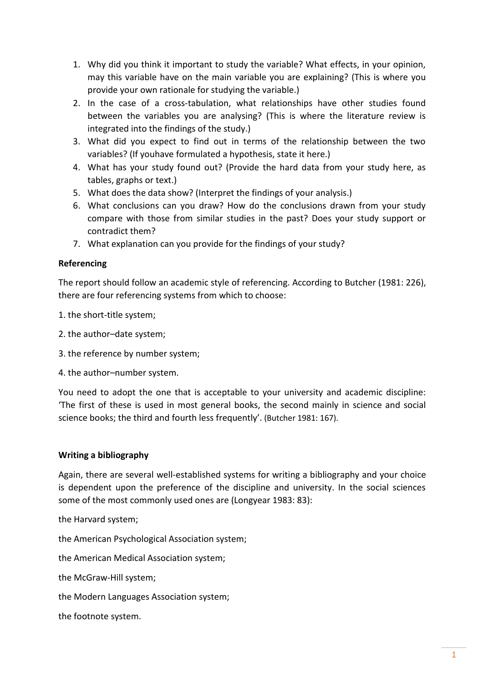- 1. Why did you think it important to study the variable? What effects, in your opinion, may this variable have on the main variable you are explaining? (This is where you provide your own rationale for studying the variable.)
- 2. In the case of a cross-tabulation, what relationships have other studies found between the variables you are analysing? (This is where the literature review is integrated into the findings of the study.)
- 3. What did you expect to find out in terms of the relationship between the two variables? (If youhave formulated a hypothesis, state it here.)
- 4. What has your study found out? (Provide the hard data from your study here, as tables, graphs or text.)
- 5. What does the data show? (Interpret the findings of your analysis.)
- 6. What conclusions can you draw? How do the conclusions drawn from your study compare with those from similar studies in the past? Does your study support or contradict them?
- 7. What explanation can you provide for the findings of your study?

# **Referencing**

The report should follow an academic style of referencing. According to Butcher (1981: 226), there are four referencing systems from which to choose:

- 1. the short-title system;
- 2. the author–date system;
- 3. the reference by number system;
- 4. the author–number system.

You need to adopt the one that is acceptable to your university and academic discipline: 'The first of these is used in most general books, the second mainly in science and social science books; the third and fourth less frequently'. (Butcher 1981: 167).

## **Writing a bibliography**

Again, there are several well-established systems for writing a bibliography and your choice is dependent upon the preference of the discipline and university. In the social sciences some of the most commonly used ones are (Longyear 1983: 83):

the Harvard system;

the American Psychological Association system;

the American Medical Association system;

the McGraw-Hill system;

the Modern Languages Association system;

the footnote system.